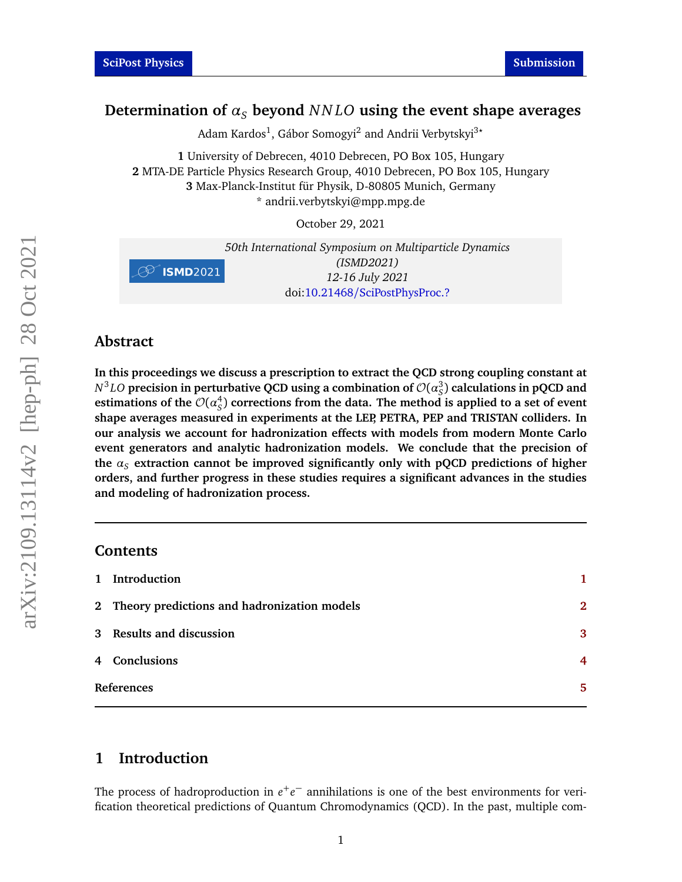# <span id="page-0-1"></span>Determination of  $\alpha_s$  beyond  $NNLO$  using the event shape averages

Adam Kardos<sup>1</sup>, Gábor Somogyi<sup>2</sup> and Andrii Verbytskyi<sup>3</sup>\*

 University of Debrecen, 4010 Debrecen, PO Box 105, Hungary MTA-DE Particle Physics Research Group, 4010 Debrecen, PO Box 105, Hungary Max-Planck-Institut für Physik, D-80805 Munich, Germany \* andrii.verbytskyi@mpp.mpg.de

October 29, 2021

|                    | 50th International Symposium on Multiparticle Dynamics |
|--------------------|--------------------------------------------------------|
|                    | (ISMD2021)                                             |
| $\oslash$ ISMD2021 | 12-16 July 2021                                        |
|                    | doi:10.21468/SciPostPhysProc.?                         |

#### **Abstract**

**In this proceedings we discuss a prescription to extract the QCD strong coupling constant at**  $N^3LO$  precision in perturbative QCD using a combination of  $\mathcal{O}(\alpha_S^3)$  calculations in pQCD and estimations of the  $\mathcal{O}(\alpha_S^4)$ *S* ) **corrections from the data. The method is applied to a set of event shape averages measured in experiments at the LEP, PETRA, PEP and TRISTAN colliders. In our analysis we account for hadronization effects with models from modern Monte Carlo event generators and analytic hadronization models. We conclude that the precision of** the  $\alpha_s$  extraction cannot be improved significantly only with pQCD predictions of higher **orders, and further progress in these studies requires a significant advances in the studies and modeling of hadronization process.**

#### **Contents**

| 1 Introduction                                |                |
|-----------------------------------------------|----------------|
| 2 Theory predictions and hadronization models | $\mathfrak{D}$ |
| 3 Results and discussion                      | 3              |
| 4 Conclusions                                 | 4              |
| References                                    |                |
|                                               |                |

# <span id="page-0-0"></span>**1 Introduction**

The process of hadroproduction in  $e^+e^-$  annihilations is one of the best environments for verification theoretical predictions of Quantum Chromodynamics (QCD). In the past, multiple com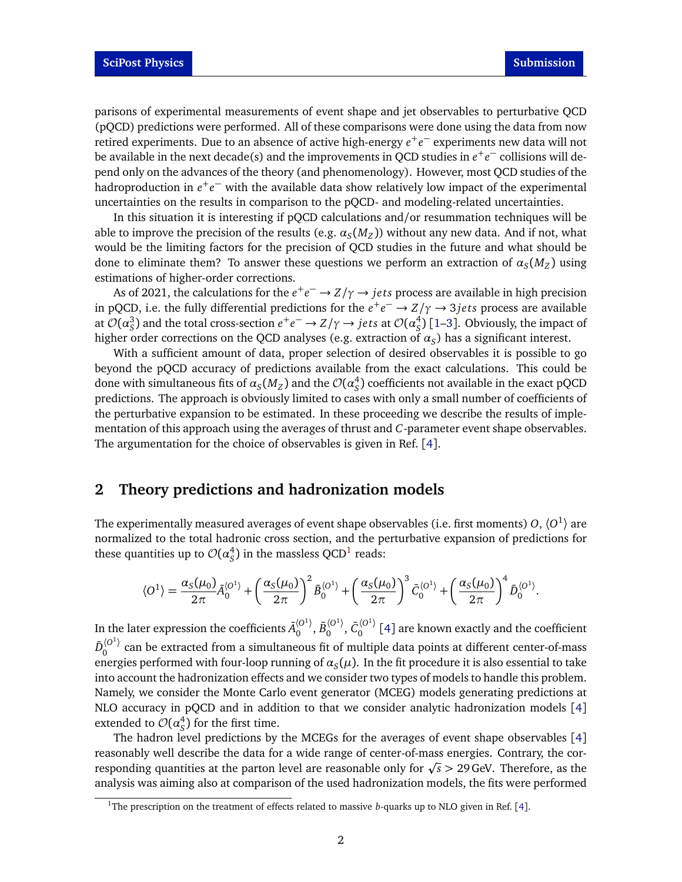parisons of experimental measurements of event shape and jet observables to perturbative QCD (pQCD) predictions were performed. All of these comparisons were done using the data from now retired experiments. Due to an absence of active high-energy *e* +*e* <sup>−</sup> experiments new data will not be available in the next decade(s) and the improvements in QCD studies in *e* +*e* <sup>−</sup> collisions will depend only on the advances of the theory (and phenomenology). However, most QCD studies of the hadroproduction in *e* +*e* <sup>−</sup> with the available data show relatively low impact of the experimental uncertainties on the results in comparison to the pQCD- and modeling-related uncertainties.

In this situation it is interesting if pQCD calculations and/or resummation techniques will be able to improve the precision of the results (e.g.  $\alpha_S(M_Z)$ ) without any new data. And if not, what would be the limiting factors for the precision of QCD studies in the future and what should be done to eliminate them? To answer these questions we perform an extraction of  $\alpha_S(M_Z)$  using estimations of higher-order corrections.

As of 2021, the calculations for the *e* +*e* <sup>−</sup> → *Z/γ* → *je ts* process are available in high precision in pQCD, i.e. the fully differential predictions for the  $e^+e^- \to Z/\gamma \to 3jets$  process are available at  $\mathcal{O}(\alpha_S^3)$  and the total cross-section  $e^+e^-\to Z/\gamma\to jets$  at  $\mathcal{O}(\alpha_S^4)$  $S<sub>S</sub><sup>4</sup>$ ) [[1–](#page-4-0)[3](#page-4-1)]. Obviously, the impact of higher order corrections on the QCD analyses (e.g. extraction of  $\alpha_S$ ) has a significant interest.

With a sufficient amount of data, proper selection of desired observables it is possible to go beyond the pQCD accuracy of predictions available from the exact calculations. This could be done with simultaneous fits of  $\alpha_S(M_Z)$  and the  ${\cal O}(\alpha_S^4)$ *S* ) coefficients not available in the exact pQCD predictions. The approach is obviously limited to cases with only a small number of coefficients of the perturbative expansion to be estimated. In these proceeding we describe the results of implementation of this approach using the averages of thrust and *C*-parameter event shape observables. The argumentation for the choice of observables is given in Ref. [[4](#page-4-2)].

#### <span id="page-1-0"></span>**2 Theory predictions and hadronization models**

The experimentally measured averages of event shape observables (i.e. first moments) 0,  $\langle O^{1} \rangle$  are normalized to the total hadronic cross section, and the perturbative expansion of predictions for these quantities up to  $\mathcal{O}(\alpha_S^4)$  $_S^4$ ) in the massless QCD<sup>[1](#page-0-1)</sup> reads:

$$
\langle O^{1} \rangle = \frac{\alpha_{S}(\mu_{0})}{2\pi} \bar{A}_{0}^{\langle O^{1} \rangle} + \left(\frac{\alpha_{S}(\mu_{0})}{2\pi}\right)^{2} \bar{B}_{0}^{\langle O^{1} \rangle} + \left(\frac{\alpha_{S}(\mu_{0})}{2\pi}\right)^{3} \bar{C}_{0}^{\langle O^{1} \rangle} + \left(\frac{\alpha_{S}(\mu_{0})}{2\pi}\right)^{4} \bar{D}_{0}^{\langle O^{1} \rangle}.
$$

In the later expression the coefficients  $\bar{A}_0^{(O^1)}$  $_0^{\langle O^1 \rangle},$   $\bar{B}_0^{\langle O^1 \rangle}$  $_0^{\langle O^1 \rangle},\, \bar C_0^{\langle O^1 \rangle}$  $\int_{0}^{\infty}$  / [[4](#page-4-2)] are known exactly and the coefficient  $\bar{D}_\Omega^{\langle O^1\rangle}$  $\frac{100}{2}$  can be extracted from a simultaneous fit of multiple data points at different center-of-mass energies performed with four-loop running of  $a_{\scriptstyle S}(\mu)$ . In the fit procedure it is also essential to take into account the hadronization effects and we consider two types of models to handle this problem. Namely, we consider the Monte Carlo event generator (MCEG) models generating predictions at NLO accuracy in pQCD and in addition to that we consider analytic hadronization models [[4](#page-4-2)] extended to  ${\cal O}(\alpha_S^4)$  $_S^4$ ) for the first time.

The hadron level predictions by the MCEGs for the averages of event shape observables [[4](#page-4-2)] reasonably well describe the data for a wide range of center-of-mass energies. Contrary, the correasonably well describe the data for a wide range of center-or-mass energies. Contrary, the cor-<br>responding quantities at the parton level are reasonable only for √s > 29 GeV. Therefore, as the analysis was aiming also at comparison of the used hadronization models, the fits were performed

<sup>&</sup>lt;sup>1</sup>The prescription on the treatment of effects related to massive *b*-quarks up to NLO given in Ref. [[4](#page-4-2)].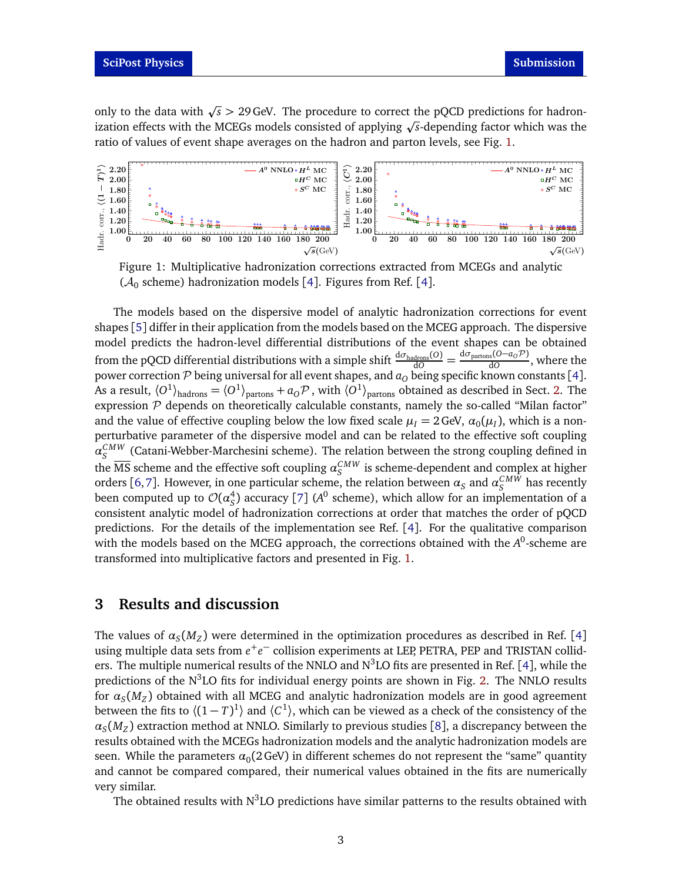only to the data with  $\sqrt{s}$  > 29 GeV. The procedure to correct the pQCD predictions for hadrononly to the data with  $\sqrt{s} > 29$  Gev. The procedure to correct the pQCD predictions for hadron-<br>ization effects with the MCEGs models consisted of applying  $\sqrt{s}$ -depending factor which was the ratio of values of event shape averages on the hadron and parton levels, see Fig. [1.](#page-2-1)

<span id="page-2-1"></span>



The models based on the dispersive model of analytic hadronization corrections for event shapes [[5](#page-4-3)] differ in their application from the models based on the MCEG approach. The dispersive model predicts the hadron-level differential distributions of the event shapes can be obtained from the pQCD differential distributions with a simple shift  $\frac{d\sigma_{\text{hadrons}}(O)}{dO}$  = d*σ*partons(*O*−*aO*P)  $\frac{d\sigma}{d\Omega}$ , where the power correction  ${\cal P}$  being universal for all event shapes, and  $a_O$  being specific known constants [[4](#page-4-2)]. As a result,  $\langle O^1 \rangle_{\text{hadrons}} = \langle O^1 \rangle_{\text{partons}} + a_O \mathcal{P}$ , with  $\langle O^1 \rangle_{\text{partons}}$  obtained as described in Sect. [2.](#page-1-0) The expression  $\mathcal P$  depends on theoretically calculable constants, namely the so-called "Milan factor" and the value of effective coupling below the low fixed scale  $\mu_I = 2 \text{ GeV}, \alpha_0(\mu_I)$ , which is a nonperturbative parameter of the dispersive model and can be related to the effective soft coupling  $\alpha_S^{CMW}$  (Catani-Webber-Marchesini scheme). The relation between the strong coupling defined in the  $\overline{\text{MS}}$  scheme and the effective soft coupling  $\alpha_S^{CMW}$  is scheme-dependent and complex at higher orders [[6,](#page-4-4)[7](#page-4-5)]. However, in one particular scheme, the relation between  $\alpha_S$  and  $\alpha_S^{CMW}$  has recently been computed up to  ${\cal O}(\alpha_S^4)$  $_S^4$ ) accuracy [[7](#page-4-5)] ( $A^0$  scheme), which allow for an implementation of a consistent analytic model of hadronization corrections at order that matches the order of pQCD predictions. For the details of the implementation see Ref. [[4](#page-4-2)]. For the qualitative comparison with the models based on the MCEG approach, the corrections obtained with the *A*<sup>0</sup>-scheme are transformed into multiplicative factors and presented in Fig. [1.](#page-2-1)

#### <span id="page-2-0"></span>**3 Results and discussion**

The values of  $\alpha_S(M_Z)$  were determined in the optimization procedures as described in Ref. [[4](#page-4-2)] using multiple data sets from *e* +*e* <sup>−</sup> collision experiments at LEP, PETRA, PEP and TRISTAN colliders. The multiple numerical results of the NNLO and  $\mathrm{N}^{3}\mathrm{LO}$  fits are presented in Ref. [[4](#page-4-2)], while the predictions of the  $N^3LO$  fits for individual energy points are shown in Fig. [2.](#page-3-1) The NNLO results for *α<sup>S</sup>* (*M<sup>Z</sup>* ) obtained with all MCEG and analytic hadronization models are in good agreement between the fits to  $\langle (1-T)^1 \rangle$  and  $\langle C^1 \rangle$ , which can be viewed as a check of the consistency of the  $\alpha_S(M_Z)$  extraction method at NNLO. Similarly to previous studies [[8](#page-4-6)], a discrepancy between the results obtained with the MCEGs hadronization models and the analytic hadronization models are seen. While the parameters  $\alpha_{0}(2\,{\rm GeV})$  in different schemes do not represent the "same" quantity and cannot be compared compared, their numerical values obtained in the fits are numerically very similar.

The obtained results with N<sup>3</sup>LO predictions have similar patterns to the results obtained with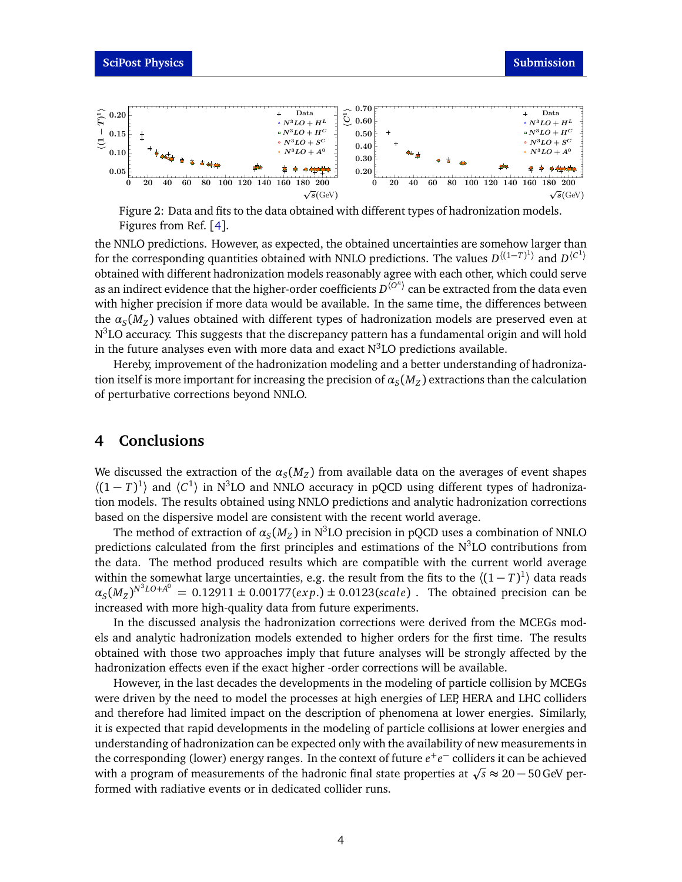<span id="page-3-1"></span>

Figure 2: Data and fits to the data obtained with different types of hadronization models. Figures from Ref. [[4](#page-4-2)].

the NNLO predictions. However, as expected, the obtained uncertainties are somehow larger than for the corresponding quantities obtained with NNLO predictions. The values  $D^{((1-T)^1)}$  and  $D^{(C^1)}$ obtained with different hadronization models reasonably agree with each other, which could serve as an indirect evidence that the higher-order coefficients  $D^{\langle \overline{O}^n\rangle}$  can be extracted from the data even with higher precision if more data would be available. In the same time, the differences between the *α<sup>S</sup>* (*M<sup>Z</sup>* ) values obtained with different types of hadronization models are preserved even at  $\mathrm{N}^3\mathrm{LO}$  accuracy. This suggests that the discrepancy pattern has a fundamental origin and will hold in the future analyses even with more data and exact  $N^3LO$  predictions available.

Hereby, improvement of the hadronization modeling and a better understanding of hadronization itself is more important for increasing the precision of  $\alpha_S(M_Z)$  extractions than the calculation of perturbative corrections beyond NNLO.

### <span id="page-3-0"></span>**4 Conclusions**

We discussed the extraction of the  $\alpha_S(M_Z)$  from available data on the averages of event shapes  $\langle (1-T)^1 \rangle$  and  $\langle C^1 \rangle$  in N<sup>3</sup>LO and NNLO accuracy in pQCD using different types of hadronization models. The results obtained using NNLO predictions and analytic hadronization corrections based on the dispersive model are consistent with the recent world average.

The method of extraction of  $\alpha_S(M_Z)$  in N<sup>3</sup>LO precision in pQCD uses a combination of NNLO predictions calculated from the first principles and estimations of the N<sup>3</sup>LO contributions from the data. The method produced results which are compatible with the current world average within the somewhat large uncertainties, e.g. the result from the fits to the  $\langle (1-T)^1 \rangle$  data reads  $\alpha_S(M_Z)^{N^3LO+A^0} = 0.12911 \pm 0.00177(exp.) \pm 0.0123(scale)$  . The obtained precision can be increased with more high-quality data from future experiments.

In the discussed analysis the hadronization corrections were derived from the MCEGs models and analytic hadronization models extended to higher orders for the first time. The results obtained with those two approaches imply that future analyses will be strongly affected by the hadronization effects even if the exact higher -order corrections will be available.

However, in the last decades the developments in the modeling of particle collision by MCEGs were driven by the need to model the processes at high energies of LEP, HERA and LHC colliders and therefore had limited impact on the description of phenomena at lower energies. Similarly, it is expected that rapid developments in the modeling of particle collisions at lower energies and understanding of hadronization can be expected only with the availability of new measurements in the corresponding (lower) energy ranges. In the context of future  $e^+e^-$  colliders it can be achieved the corresponding (lower) energy ranges. In the context of future *e* ÷ *e* colliders it can be achieved<br>with a program of measurements of the hadronic final state properties at √s ≈ 20 – 50 GeV performed with radiative events or in dedicated collider runs.